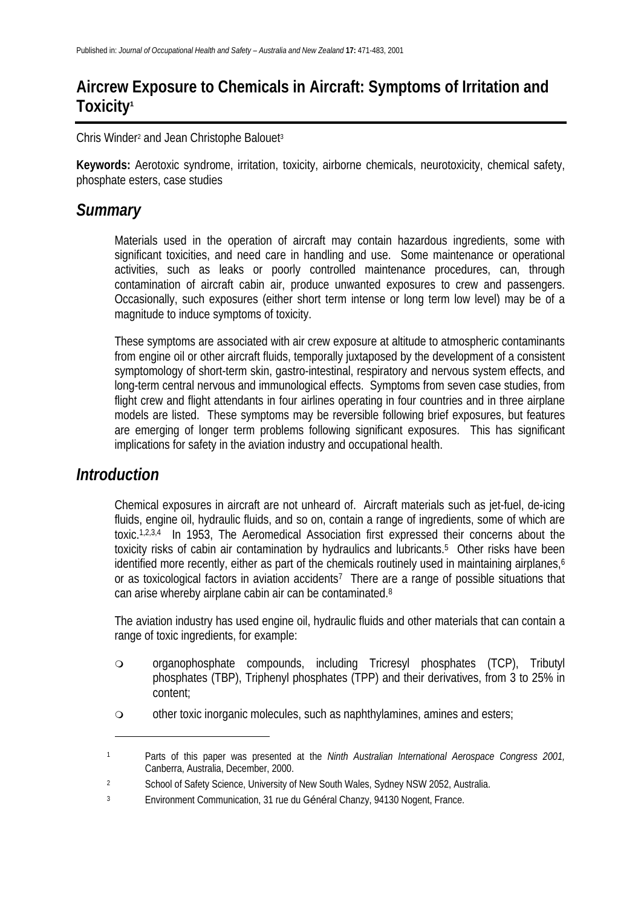## **Aircrew Exposure to Chemicals in Aircraft: Symptoms of Irritation and Toxicity<sup>1</sup>**

Chris Winder<sup>2</sup> and Jean Christophe Balouet<sup>3</sup>

**Keywords:** Aerotoxic syndrome, irritation, toxicity, airborne chemicals, neurotoxicity, chemical safety, phosphate esters, case studies

## *Summary*

Materials used in the operation of aircraft may contain hazardous ingredients, some with significant toxicities, and need care in handling and use. Some maintenance or operational activities, such as leaks or poorly controlled maintenance procedures, can, through contamination of aircraft cabin air, produce unwanted exposures to crew and passengers. Occasionally, such exposures (either short term intense or long term low level) may be of a magnitude to induce symptoms of toxicity.

These symptoms are associated with air crew exposure at altitude to atmospheric contaminants from engine oil or other aircraft fluids, temporally juxtaposed by the development of a consistent symptomology of short-term skin, gastro-intestinal, respiratory and nervous system effects, and long-term central nervous and immunological effects. Symptoms from seven case studies, from flight crew and flight attendants in four airlines operating in four countries and in three airplane models are listed. These symptoms may be reversible following brief exposures, but features are emerging of longer term problems following significant exposures. This has significant implications for safety in the aviation industry and occupational health.

## *Introduction*

l

Chemical exposures in aircraft are not unheard of. Aircraft materials such as jet-fuel, de-icing fluids, engine oil, hydraulic fluids, and so on, contain a range of ingredients, some of which are toxic.1,2,3,4 In 1953, The Aeromedical Association first expressed their concerns about the toxicity risks of cabin air contamination by hydraulics and lubricants.5 Other risks have been identified more recently, either as part of the chemicals routinely used in maintaining airplanes,<sup>6</sup> or as toxicological factors in aviation accidents<sup>7</sup> There are a range of possible situations that can arise whereby airplane cabin air can be contaminated.8

The aviation industry has used engine oil, hydraulic fluids and other materials that can contain a range of toxic ingredients, for example:

- organophosphate compounds, including Tricresyl phosphates (TCP), Tributyl phosphates (TBP), Triphenyl phosphates (TPP) and their derivatives, from 3 to 25% in content;
- other toxic inorganic molecules, such as naphthylamines, amines and esters;

<sup>1</sup> Parts of this paper was presented at the *Ninth Australian International Aerospace Congress 2001,* Canberra, Australia, December, 2000.

<sup>&</sup>lt;sup>2</sup> School of Safety Science, University of New South Wales, Sydney NSW 2052, Australia.

<sup>3</sup> Environment Communication, 31 rue du Général Chanzy, 94130 Nogent, France.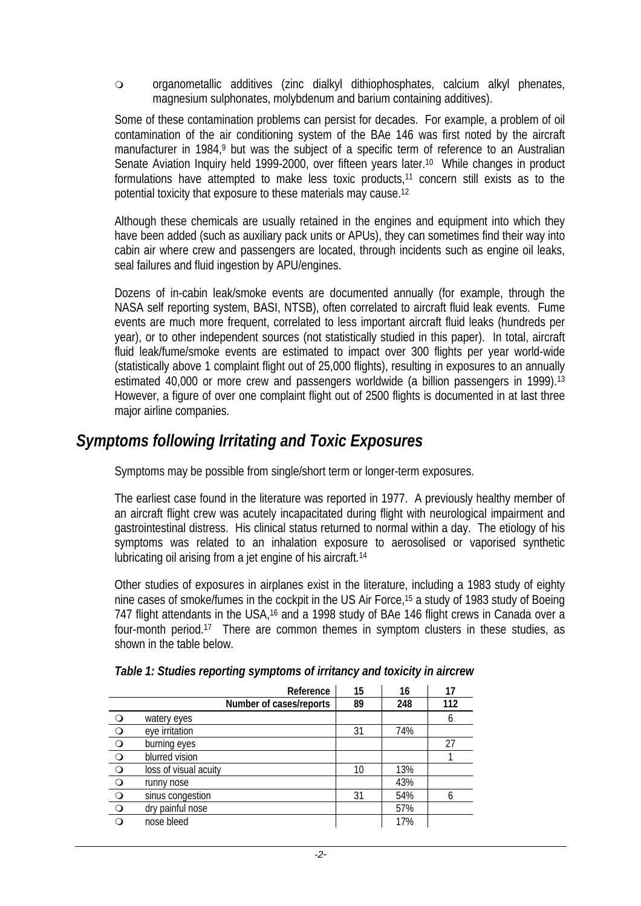organometallic additives (zinc dialkyl dithiophosphates, calcium alkyl phenates, magnesium sulphonates, molybdenum and barium containing additives).

Some of these contamination problems can persist for decades. For example, a problem of oil contamination of the air conditioning system of the BAe 146 was first noted by the aircraft manufacturer in 1984,<sup>9</sup> but was the subject of a specific term of reference to an Australian Senate Aviation Inquiry held 1999-2000, over fifteen years later.<sup>10</sup> While changes in product formulations have attempted to make less toxic products,11 concern still exists as to the potential toxicity that exposure to these materials may cause.12

Although these chemicals are usually retained in the engines and equipment into which they have been added (such as auxiliary pack units or APUs), they can sometimes find their way into cabin air where crew and passengers are located, through incidents such as engine oil leaks, seal failures and fluid ingestion by APU/engines.

Dozens of in-cabin leak/smoke events are documented annually (for example, through the NASA self reporting system, BASI, NTSB), often correlated to aircraft fluid leak events. Fume events are much more frequent, correlated to less important aircraft fluid leaks (hundreds per year), or to other independent sources (not statistically studied in this paper). In total, aircraft fluid leak/fume/smoke events are estimated to impact over 300 flights per year world-wide (statistically above 1 complaint flight out of 25,000 flights), resulting in exposures to an annually estimated 40,000 or more crew and passengers worldwide (a billion passengers in 1999).<sup>13</sup> However, a figure of over one complaint flight out of 2500 flights is documented in at last three major airline companies.

## *Symptoms following Irritating and Toxic Exposures*

Symptoms may be possible from single/short term or longer-term exposures.

The earliest case found in the literature was reported in 1977. A previously healthy member of an aircraft flight crew was acutely incapacitated during flight with neurological impairment and gastrointestinal distress. His clinical status returned to normal within a day. The etiology of his symptoms was related to an inhalation exposure to aerosolised or vaporised synthetic lubricating oil arising from a jet engine of his aircraft.14

Other studies of exposures in airplanes exist in the literature, including a 1983 study of eighty nine cases of smoke/fumes in the cockpit in the US Air Force,<sup>15</sup> a study of 1983 study of Boeing 747 flight attendants in the USA,<sup>16</sup> and a 1998 study of BAe 146 flight crews in Canada over a four-month period.17 There are common themes in symptom clusters in these studies, as shown in the table below.

|                                                                                   | Reference               | 15 | 16  | 17  |
|-----------------------------------------------------------------------------------|-------------------------|----|-----|-----|
|                                                                                   | Number of cases/reports | 89 | 248 | 112 |
|                                                                                   | watery eyes             |    |     | 6   |
| $\begin{array}{c c c c c c c c} \hline \circ & \circ & \circ & \circ \end{array}$ | eye irritation          | 31 | 74% |     |
|                                                                                   | burning eyes            |    |     | 27  |
|                                                                                   | blurred vision          |    |     |     |
|                                                                                   | loss of visual acuity   | 10 | 13% |     |
|                                                                                   | runny nose              |    | 43% |     |
|                                                                                   | sinus congestion        | 31 | 54% | 6   |
|                                                                                   | dry painful nose        |    | 57% |     |
|                                                                                   | nose bleed              |    | 17% |     |

*Table 1: Studies reporting symptoms of irritancy and toxicity in aircrew*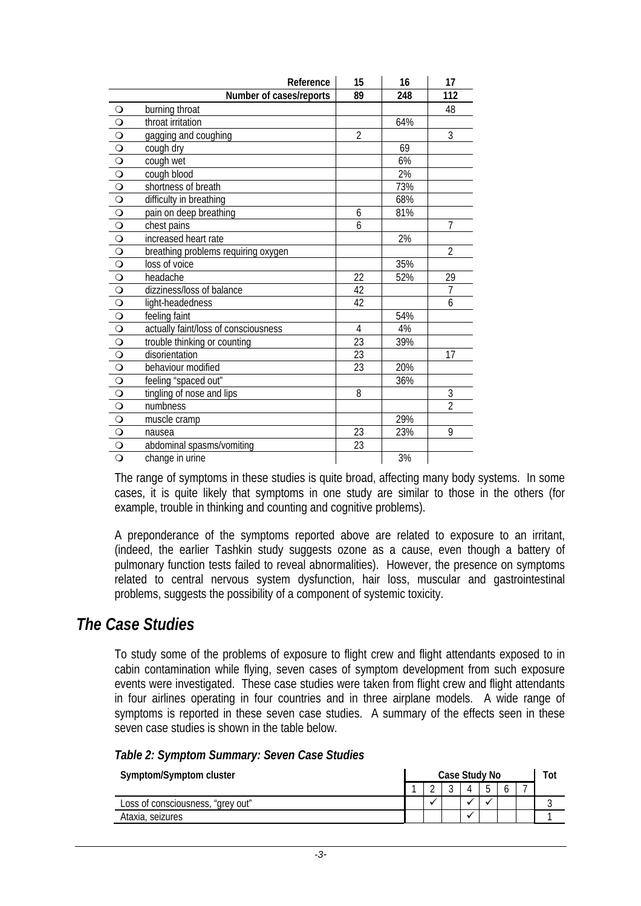|                                                                                | Reference                            | 15             | 16  | 17             |
|--------------------------------------------------------------------------------|--------------------------------------|----------------|-----|----------------|
|                                                                                | Number of cases/reports              | 89             | 248 | 112            |
| $\circ$                                                                        | burning throat                       |                |     | 48             |
| $\begin{array}{c c} \n\hline\nO & O\n\end{array}$                              | throat irritation                    |                | 64% |                |
|                                                                                | gagging and coughing                 | $\overline{2}$ |     | $\overline{3}$ |
|                                                                                | cough dry                            |                | 69  |                |
| $\overline{O}$                                                                 | cough wet                            |                | 6%  |                |
| $\frac{1}{\sqrt{2}}$                                                           | cough blood                          |                | 2%  |                |
|                                                                                | shortness of breath                  |                | 73% |                |
| $\overline{O}$                                                                 | difficulty in breathing              |                | 68% |                |
| $\circ$                                                                        | pain on deep breathing               | 6              | 81% |                |
| $\circ$                                                                        | chest pains                          | 6              |     | $\overline{7}$ |
| $\overline{O}$                                                                 | increased heart rate                 |                | 2%  |                |
| $\circ$                                                                        | breathing problems requiring oxygen  |                |     | $\overline{2}$ |
| $\circ$                                                                        | loss of voice                        |                | 35% |                |
| $\circ$                                                                        | headache                             | 22             | 52% | 29             |
| $\overline{O}$                                                                 | dizziness/loss of balance            | 42             |     | $\overline{7}$ |
| $\circ$                                                                        | light-headedness                     | 42             |     | 6              |
| $\circ$                                                                        | feeling faint                        |                | 54% |                |
| $\circ$                                                                        | actually faint/loss of consciousness | $\overline{4}$ | 4%  |                |
| $\overline{O}$                                                                 | trouble thinking or counting         | 23             | 39% |                |
| $\overline{O}$                                                                 | disorientation                       | 23             |     | 17             |
|                                                                                | behaviour modified                   | 23             | 20% |                |
|                                                                                | feeling "spaced out"                 |                | 36% |                |
|                                                                                | tingling of nose and lips            | 8              |     | 3              |
| $\begin{array}{c c c c c c} \hline \text{C} & \text{C} & \text{C} \end{array}$ | numbness                             |                |     | $\overline{2}$ |
|                                                                                | muscle cramp                         |                | 29% |                |
| $\overline{O}$                                                                 | nausea                               | 23             | 23% | 9              |
|                                                                                | abdominal spasms/vomiting            | 23             |     |                |
| $\overline{\circ}$                                                             | change in urine                      |                | 3%  |                |

The range of symptoms in these studies is quite broad, affecting many body systems. In some cases, it is quite likely that symptoms in one study are similar to those in the others (for example, trouble in thinking and counting and cognitive problems).

A preponderance of the symptoms reported above are related to exposure to an irritant, (indeed, the earlier Tashkin study suggests ozone as a cause, even though a battery of pulmonary function tests failed to reveal abnormalities). However, the presence on symptoms related to central nervous system dysfunction, hair loss, muscular and gastrointestinal problems, suggests the possibility of a component of systemic toxicity.

## *The Case Studies*

To study some of the problems of exposure to flight crew and flight attendants exposed to in cabin contamination while flying, seven cases of symptom development from such exposure events were investigated. These case studies were taken from flight crew and flight attendants in four airlines operating in four countries and in three airplane models. A wide range of symptoms is reported in these seven case studies. A summary of the effects seen in these seven case studies is shown in the table below.

| Table 2: Symptom Summary: Seven Case Studies |  |  |  |  |  |  |
|----------------------------------------------|--|--|--|--|--|--|
|----------------------------------------------|--|--|--|--|--|--|

| Symptom/Symptom cluster           |  |  | Case Study No |  |                      |  |  |  |  |
|-----------------------------------|--|--|---------------|--|----------------------|--|--|--|--|
|                                   |  |  |               |  |                      |  |  |  |  |
| Loss of consciousness, "grey out" |  |  |               |  | $\ddot{\phantom{0}}$ |  |  |  |  |
| Ataxia, seizures                  |  |  |               |  |                      |  |  |  |  |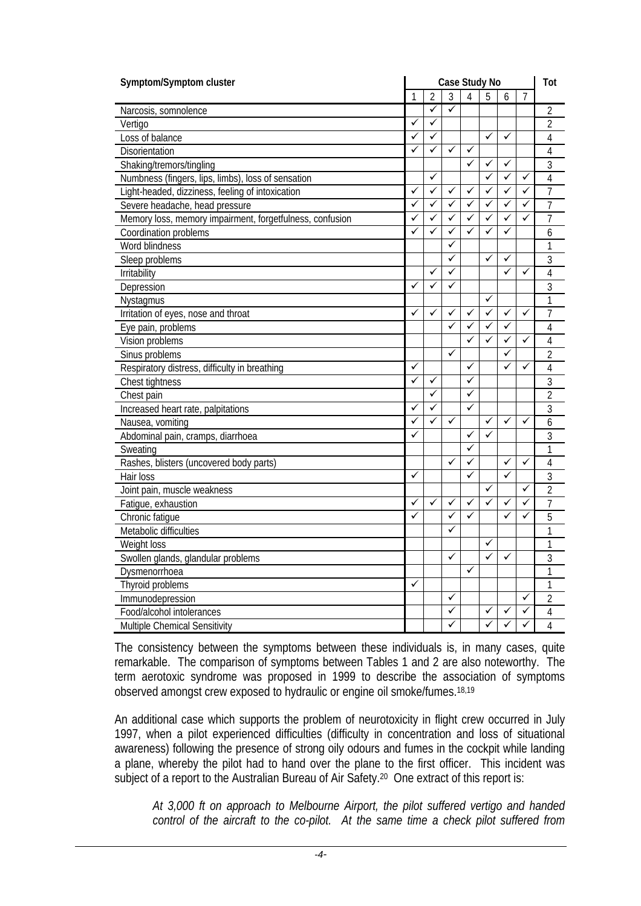| Symptom/Symptom cluster                                  |   |              | Case Study No |              |   |   |   |                |  |
|----------------------------------------------------------|---|--------------|---------------|--------------|---|---|---|----------------|--|
|                                                          | 1 | 2            | 3             | 4            | 5 | 6 | 7 |                |  |
| Narcosis, somnolence                                     |   | ✓            | ✓             |              |   |   |   | 2              |  |
| Vertigo                                                  | ✓ | ✓            |               |              |   |   |   | $\overline{2}$ |  |
| Loss of balance                                          | ✓ | ✓            |               |              | ✓ | ✓ |   | 4              |  |
| Disorientation                                           | ✓ | ✓            | ✓             | ✓            |   |   |   | 4              |  |
| Shaking/tremors/tingling                                 |   |              |               | ✓            | ✓ | ✓ |   | 3              |  |
| Numbness (fingers, lips, limbs), loss of sensation       |   | ✓            |               |              | ✓ | ✓ | ✓ | $\overline{4}$ |  |
| Light-headed, dizziness, feeling of intoxication         | ✓ | ✓            | ✓             | ✓            | ✓ | ✓ | ✓ | 7              |  |
| Severe headache, head pressure                           | ✓ | ✓            | $\checkmark$  | ✓            | ✓ | ✓ | ✓ | $\overline{1}$ |  |
| Memory loss, memory impairment, forgetfulness, confusion | ✓ | ✓            | ✓             | ✓            | ✓ | ✓ | ✓ | 7              |  |
| Coordination problems                                    | ✓ | ✓            | $\checkmark$  | ✓            | ✓ | ✓ |   | 6              |  |
| Word blindness                                           |   |              | ✓             |              |   |   |   | 1              |  |
| Sleep problems                                           |   |              | ✓             |              | ✓ | ✓ |   | $\overline{3}$ |  |
| <b>Irritability</b>                                      |   | ✓            | ✓             |              |   | ✓ | ✓ | 4              |  |
| Depression                                               | ✓ | ✓            | $\checkmark$  |              |   |   |   | 3              |  |
| Nystagmus                                                |   |              |               |              | ✓ |   |   | 1              |  |
| Irritation of eyes, nose and throat                      | ✓ | ✓            | ✓             | ✓            | ✓ | ✓ | ✓ | 7              |  |
| Eye pain, problems                                       |   |              | ✓             | ✓            | ✓ | ✓ |   | $\overline{4}$ |  |
| Vision problems                                          |   |              |               | ✓            | ✓ | ✓ | ✓ | 4              |  |
| Sinus problems                                           |   |              | ✓             |              |   | ✓ |   | $\overline{2}$ |  |
| Respiratory distress, difficulty in breathing            | ✓ |              |               | ✓            |   | ✓ | ✓ | 4              |  |
| Chest tightness                                          | ✓ | ✓            |               | ✓            |   |   |   | 3              |  |
| Chest pain                                               |   | $\checkmark$ |               | ✓            |   |   |   | $\overline{2}$ |  |
| Increased heart rate, palpitations                       | ✓ | ✓            |               | ✓            |   |   |   | 3              |  |
| Nausea, vomiting                                         | ✓ |              | $\checkmark$  |              | ✓ | ✓ | ✓ | 6              |  |
| Abdominal pain, cramps, diarrhoea                        | ✓ |              |               | $\checkmark$ | ✓ |   |   | 3              |  |
| Sweating                                                 |   |              |               | ✓            |   |   |   | 1              |  |
| Rashes, blisters (uncovered body parts)                  |   |              | ✓             | ✓            |   | ✓ | ✓ | 4              |  |
| Hair loss                                                | ✓ |              |               | ✓            |   | ✓ |   | 3              |  |
| Joint pain, muscle weakness                              |   |              |               |              | ✓ |   | ✓ | $\overline{2}$ |  |
| Fatigue, exhaustion                                      | ✓ | ✓            | ✓             | ✓            | ✓ | ✓ | ✓ | $\overline{7}$ |  |
| Chronic fatigue                                          | ✓ |              | ✓             | ✓            |   | ✓ | ✓ | 5              |  |
| Metabolic difficulties                                   |   |              | ✓             |              |   |   |   | 1              |  |
| Weight loss                                              |   |              |               |              | ✓ |   |   | 1              |  |
| Swollen glands, glandular problems                       |   |              | ✓             |              | ✓ | ✓ |   | 3              |  |
| Dysmenorrhoea                                            |   |              |               | ✓            |   |   |   | 1              |  |
| Thyroid problems                                         | ✓ |              |               |              |   |   |   | 1              |  |
| Immunodepression                                         |   |              | ✓             |              |   |   | ✓ | $\overline{2}$ |  |
| Food/alcohol intolerances                                |   |              | ✓             |              | ✓ | ✓ | ✓ | 4              |  |
| Multiple Chemical Sensitivity                            |   |              | ✓             |              | ✓ | ✓ | ✓ | $\overline{4}$ |  |

The consistency between the symptoms between these individuals is, in many cases, quite remarkable. The comparison of symptoms between Tables 1 and 2 are also noteworthy. The term aerotoxic syndrome was proposed in 1999 to describe the association of symptoms observed amongst crew exposed to hydraulic or engine oil smoke/fumes.18,19

An additional case which supports the problem of neurotoxicity in flight crew occurred in July 1997, when a pilot experienced difficulties (difficulty in concentration and loss of situational awareness) following the presence of strong oily odours and fumes in the cockpit while landing a plane, whereby the pilot had to hand over the plane to the first officer. This incident was subject of a report to the Australian Bureau of Air Safety.<sup>20</sup> One extract of this report is:

*At 3,000 ft on approach to Melbourne Airport, the pilot suffered vertigo and handed control of the aircraft to the co-pilot. At the same time a check pilot suffered from*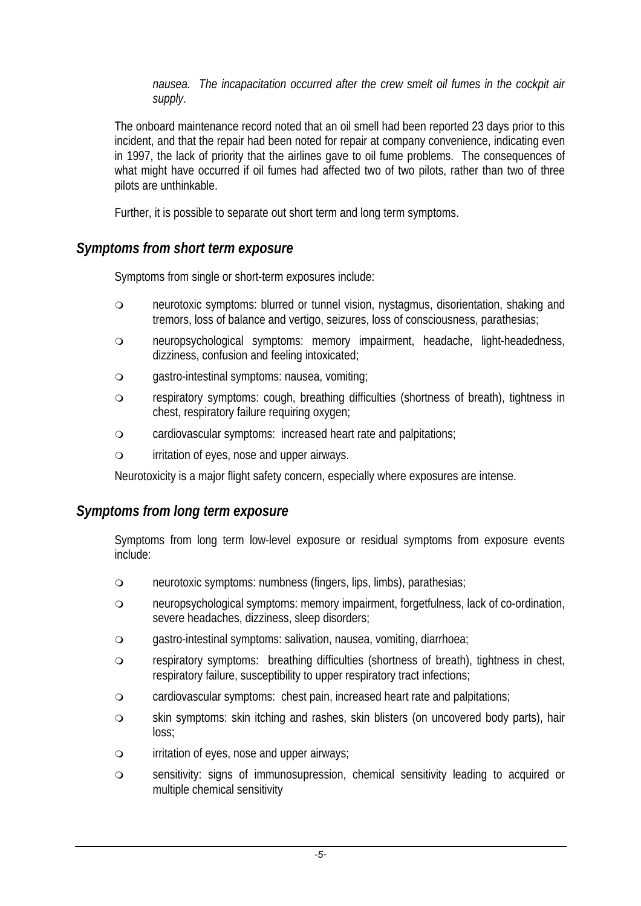*nausea. The incapacitation occurred after the crew smelt oil fumes in the cockpit air supply*.

The onboard maintenance record noted that an oil smell had been reported 23 days prior to this incident, and that the repair had been noted for repair at company convenience, indicating even in 1997, the lack of priority that the airlines gave to oil fume problems. The consequences of what might have occurred if oil fumes had affected two of two pilots, rather than two of three pilots are unthinkable.

Further, it is possible to separate out short term and long term symptoms.

### *Symptoms from short term exposure*

Symptoms from single or short-term exposures include:

- neurotoxic symptoms: blurred or tunnel vision, nystagmus, disorientation, shaking and tremors, loss of balance and vertigo, seizures, loss of consciousness, parathesias;
- neuropsychological symptoms: memory impairment, headache, light-headedness, dizziness, confusion and feeling intoxicated;
- gastro-intestinal symptoms: nausea, vomiting;
- respiratory symptoms: cough, breathing difficulties (shortness of breath), tightness in chest, respiratory failure requiring oxygen;
- cardiovascular symptoms: increased heart rate and palpitations;
- irritation of eyes, nose and upper airways.

Neurotoxicity is a major flight safety concern, especially where exposures are intense.

### *Symptoms from long term exposure*

Symptoms from long term low-level exposure or residual symptoms from exposure events include:

- neurotoxic symptoms: numbness (fingers, lips, limbs), parathesias;
- neuropsychological symptoms: memory impairment, forgetfulness, lack of co-ordination, severe headaches, dizziness, sleep disorders;
- gastro-intestinal symptoms: salivation, nausea, vomiting, diarrhoea;
- respiratory symptoms: breathing difficulties (shortness of breath), tightness in chest, respiratory failure, susceptibility to upper respiratory tract infections;
- cardiovascular symptoms: chest pain, increased heart rate and palpitations;
- skin symptoms: skin itching and rashes, skin blisters (on uncovered body parts), hair loss;
- irritation of eyes, nose and upper airways;
- sensitivity: signs of immunosupression, chemical sensitivity leading to acquired or multiple chemical sensitivity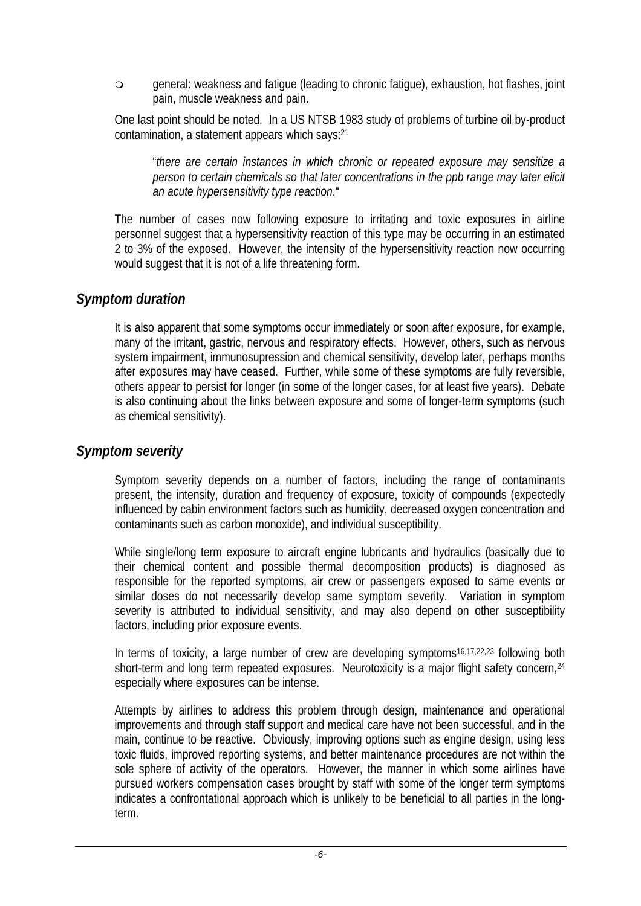general: weakness and fatigue (leading to chronic fatigue), exhaustion, hot flashes, joint pain, muscle weakness and pain.

One last point should be noted. In a US NTSB 1983 study of problems of turbine oil by-product contamination, a statement appears which says:21

"*there are certain instances in which chronic or repeated exposure may sensitize a person to certain chemicals so that later concentrations in the ppb range may later elicit an acute hypersensitivity type reaction*."

The number of cases now following exposure to irritating and toxic exposures in airline personnel suggest that a hypersensitivity reaction of this type may be occurring in an estimated 2 to 3% of the exposed. However, the intensity of the hypersensitivity reaction now occurring would suggest that it is not of a life threatening form.

#### *Symptom duration*

It is also apparent that some symptoms occur immediately or soon after exposure, for example, many of the irritant, gastric, nervous and respiratory effects. However, others, such as nervous system impairment, immunosupression and chemical sensitivity, develop later, perhaps months after exposures may have ceased. Further, while some of these symptoms are fully reversible, others appear to persist for longer (in some of the longer cases, for at least five years). Debate is also continuing about the links between exposure and some of longer-term symptoms (such as chemical sensitivity).

#### *Symptom severity*

Symptom severity depends on a number of factors, including the range of contaminants present, the intensity, duration and frequency of exposure, toxicity of compounds (expectedly influenced by cabin environment factors such as humidity, decreased oxygen concentration and contaminants such as carbon monoxide), and individual susceptibility.

While single/long term exposure to aircraft engine lubricants and hydraulics (basically due to their chemical content and possible thermal decomposition products) is diagnosed as responsible for the reported symptoms, air crew or passengers exposed to same events or similar doses do not necessarily develop same symptom severity. Variation in symptom severity is attributed to individual sensitivity, and may also depend on other susceptibility factors, including prior exposure events.

In terms of toxicity, a large number of crew are developing symptoms<sup>16,17,22,23</sup> following both short-term and long term repeated exposures. Neurotoxicity is a major flight safety concern, <sup>24</sup> especially where exposures can be intense.

Attempts by airlines to address this problem through design, maintenance and operational improvements and through staff support and medical care have not been successful, and in the main, continue to be reactive. Obviously, improving options such as engine design, using less toxic fluids, improved reporting systems, and better maintenance procedures are not within the sole sphere of activity of the operators. However, the manner in which some airlines have pursued workers compensation cases brought by staff with some of the longer term symptoms indicates a confrontational approach which is unlikely to be beneficial to all parties in the longterm.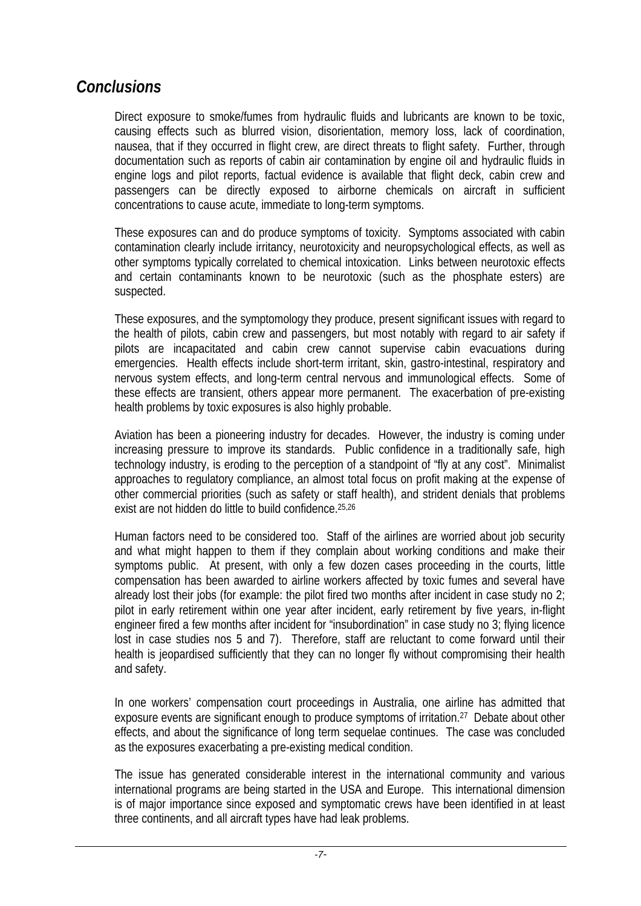## *Conclusions*

Direct exposure to smoke/fumes from hydraulic fluids and lubricants are known to be toxic, causing effects such as blurred vision, disorientation, memory loss, lack of coordination, nausea, that if they occurred in flight crew, are direct threats to flight safety. Further, through documentation such as reports of cabin air contamination by engine oil and hydraulic fluids in engine logs and pilot reports, factual evidence is available that flight deck, cabin crew and passengers can be directly exposed to airborne chemicals on aircraft in sufficient concentrations to cause acute, immediate to long-term symptoms.

These exposures can and do produce symptoms of toxicity. Symptoms associated with cabin contamination clearly include irritancy, neurotoxicity and neuropsychological effects, as well as other symptoms typically correlated to chemical intoxication. Links between neurotoxic effects and certain contaminants known to be neurotoxic (such as the phosphate esters) are suspected.

These exposures, and the symptomology they produce, present significant issues with regard to the health of pilots, cabin crew and passengers, but most notably with regard to air safety if pilots are incapacitated and cabin crew cannot supervise cabin evacuations during emergencies. Health effects include short-term irritant, skin, gastro-intestinal, respiratory and nervous system effects, and long-term central nervous and immunological effects. Some of these effects are transient, others appear more permanent. The exacerbation of pre-existing health problems by toxic exposures is also highly probable.

Aviation has been a pioneering industry for decades. However, the industry is coming under increasing pressure to improve its standards. Public confidence in a traditionally safe, high technology industry, is eroding to the perception of a standpoint of "fly at any cost". Minimalist approaches to regulatory compliance, an almost total focus on profit making at the expense of other commercial priorities (such as safety or staff health), and strident denials that problems exist are not hidden do little to build confidence.25,26

Human factors need to be considered too. Staff of the airlines are worried about job security and what might happen to them if they complain about working conditions and make their symptoms public. At present, with only a few dozen cases proceeding in the courts, little compensation has been awarded to airline workers affected by toxic fumes and several have already lost their jobs (for example: the pilot fired two months after incident in case study no 2; pilot in early retirement within one year after incident, early retirement by five years, in-flight engineer fired a few months after incident for "insubordination" in case study no 3; flying licence lost in case studies nos 5 and 7). Therefore, staff are reluctant to come forward until their health is jeopardised sufficiently that they can no longer fly without compromising their health and safety.

In one workers' compensation court proceedings in Australia, one airline has admitted that exposure events are significant enough to produce symptoms of irritation.<sup>27</sup> Debate about other effects, and about the significance of long term sequelae continues. The case was concluded as the exposures exacerbating a pre-existing medical condition.

The issue has generated considerable interest in the international community and various international programs are being started in the USA and Europe. This international dimension is of major importance since exposed and symptomatic crews have been identified in at least three continents, and all aircraft types have had leak problems.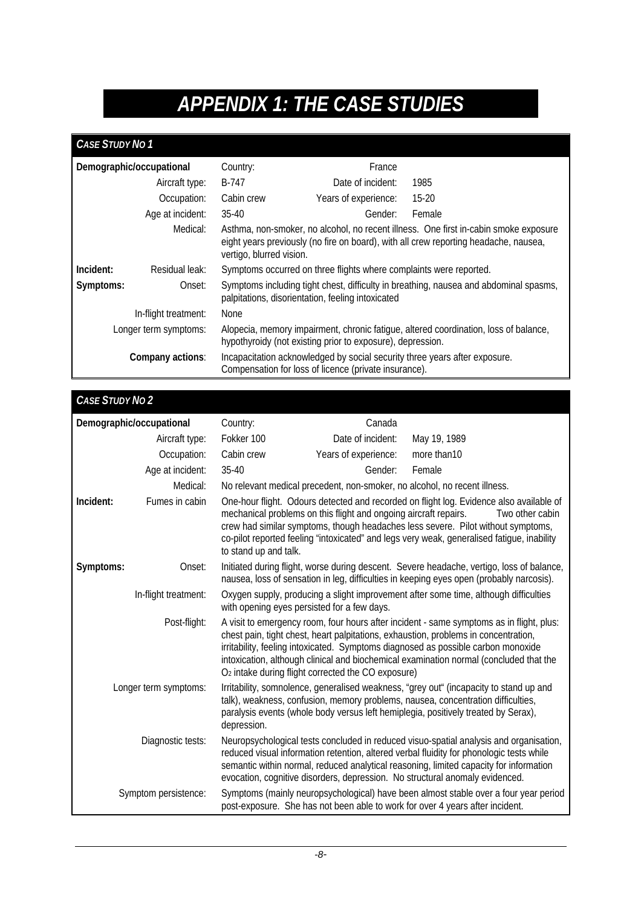# *APPENDIX 1: THE CASE STUDIES*

#### *CASE STUDY NO 1*

| Demographic/occupational                                                                                                     |                      | Country:                                                                                                                                           | France                                                                                                                              |                                                                                      |  |
|------------------------------------------------------------------------------------------------------------------------------|----------------------|----------------------------------------------------------------------------------------------------------------------------------------------------|-------------------------------------------------------------------------------------------------------------------------------------|--------------------------------------------------------------------------------------|--|
|                                                                                                                              | Aircraft type:       | B-747                                                                                                                                              | Date of incident:                                                                                                                   | 1985                                                                                 |  |
|                                                                                                                              | Occupation:          | Cabin crew                                                                                                                                         | Years of experience:                                                                                                                | $15-20$                                                                              |  |
|                                                                                                                              | Age at incident:     | $35-40$                                                                                                                                            | Gender:                                                                                                                             | Female                                                                               |  |
| Medical:<br>eight years previously (no fire on board), with all crew reporting headache, nausea,<br>vertigo, blurred vision. |                      |                                                                                                                                                    |                                                                                                                                     | Asthma, non-smoker, no alcohol, no recent illness. One first in-cabin smoke exposure |  |
| Incident:                                                                                                                    | Residual leak:       |                                                                                                                                                    | Symptoms occurred on three flights where complaints were reported.                                                                  |                                                                                      |  |
| Symptoms:                                                                                                                    | Onset:               | Symptoms including tight chest, difficulty in breathing, nausea and abdominal spasms,<br>palpitations, disorientation, feeling intoxicated         |                                                                                                                                     |                                                                                      |  |
|                                                                                                                              | In-flight treatment: | None                                                                                                                                               |                                                                                                                                     |                                                                                      |  |
| Longer term symptoms:                                                                                                        |                      | Alopecia, memory impairment, chronic fatigue, altered coordination, loss of balance,<br>hypothyroidy (not existing prior to exposure), depression. |                                                                                                                                     |                                                                                      |  |
|                                                                                                                              | Company actions:     |                                                                                                                                                    | Incapacitation acknowledged by social security three years after exposure.<br>Compensation for loss of licence (private insurance). |                                                                                      |  |

#### *CASE STUDY NO 2*  **Demographic/occupational** Country: Canada Aircraft type: Fokker 100 Date of incident: May 19, 1989 Occupation: Cabin crew Years of experience: more than10 Age at incident: 35-40 Gender: Female Medical: No relevant medical precedent, non-smoker, no alcohol, no recent illness. **Incident:** Fumes in cabin One-hour flight. Odours detected and recorded on flight log. Evidence also available of mechanical problems on this flight and ongoing aircraft repairs. Two other cabin crew had similar symptoms, though headaches less severe. Pilot without symptoms, co-pilot reported feeling "intoxicated" and legs very weak, generalised fatigue, inability to stand up and talk. Symptoms: Onset: Initiated during flight, worse during descent. Severe headache, vertigo, loss of balance, nausea, loss of sensation in leg, difficulties in keeping eyes open (probably narcosis). In-flight treatment: Oxygen supply, producing a slight improvement after some time, although difficulties with opening eyes persisted for a few days. Post-flight: A visit to emergency room, four hours after incident - same symptoms as in flight, plus: chest pain, tight chest, heart palpitations, exhaustion, problems in concentration, irritability, feeling intoxicated. Symptoms diagnosed as possible carbon monoxide intoxication, although clinical and biochemical examination normal (concluded that the O2 intake during flight corrected the CO exposure) Longer term symptoms: Irritability, somnolence, generalised weakness, "grey out" (incapacity to stand up and talk), weakness, confusion, memory problems, nausea, concentration difficulties, paralysis events (whole body versus left hemiplegia, positively treated by Serax), depression. Diagnostic tests: Neuropsychological tests concluded in reduced visuo-spatial analysis and organisation, reduced visual information retention, altered verbal fluidity for phonologic tests while semantic within normal, reduced analytical reasoning, limited capacity for information evocation, cognitive disorders, depression. No structural anomaly evidenced. Symptom persistence: Symptoms (mainly neuropsychological) have been almost stable over a four year period post-exposure. She has not been able to work for over 4 years after incident.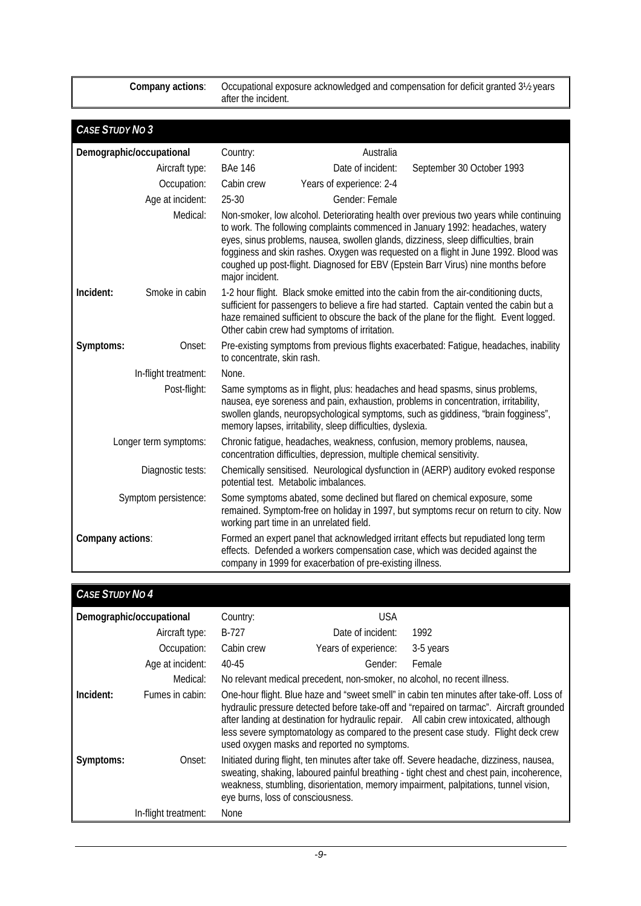**Company actions**: Occupational exposure acknowledged and compensation for deficit granted 3½ years after the incident.

| <b>CASE STUDY NO 3</b>   |                                                                                                                                                                                                                                                                                                                                                                                                                                                                           |                                                                                                                                                                                                                                                                                                                            |                                                                                                                                                                                                               |                                                                                                                                                                                                                                                           |  |
|--------------------------|---------------------------------------------------------------------------------------------------------------------------------------------------------------------------------------------------------------------------------------------------------------------------------------------------------------------------------------------------------------------------------------------------------------------------------------------------------------------------|----------------------------------------------------------------------------------------------------------------------------------------------------------------------------------------------------------------------------------------------------------------------------------------------------------------------------|---------------------------------------------------------------------------------------------------------------------------------------------------------------------------------------------------------------|-----------------------------------------------------------------------------------------------------------------------------------------------------------------------------------------------------------------------------------------------------------|--|
| Demographic/occupational |                                                                                                                                                                                                                                                                                                                                                                                                                                                                           | Country:                                                                                                                                                                                                                                                                                                                   | Australia                                                                                                                                                                                                     |                                                                                                                                                                                                                                                           |  |
|                          | Aircraft type:                                                                                                                                                                                                                                                                                                                                                                                                                                                            | <b>BAe 146</b>                                                                                                                                                                                                                                                                                                             | Date of incident:                                                                                                                                                                                             | September 30 October 1993                                                                                                                                                                                                                                 |  |
|                          | Occupation:                                                                                                                                                                                                                                                                                                                                                                                                                                                               | Cabin crew                                                                                                                                                                                                                                                                                                                 | Years of experience: 2-4                                                                                                                                                                                      |                                                                                                                                                                                                                                                           |  |
|                          | Age at incident:                                                                                                                                                                                                                                                                                                                                                                                                                                                          | $25 - 30$                                                                                                                                                                                                                                                                                                                  | Gender: Female                                                                                                                                                                                                |                                                                                                                                                                                                                                                           |  |
|                          | Medical:<br>Non-smoker, low alcohol. Deteriorating health over previous two years while continuing<br>to work. The following complaints commenced in January 1992: headaches, watery<br>eyes, sinus problems, nausea, swollen glands, dizziness, sleep difficulties, brain<br>fogginess and skin rashes. Oxygen was requested on a flight in June 1992. Blood was<br>coughed up post-flight. Diagnosed for EBV (Epstein Barr Virus) nine months before<br>major incident. |                                                                                                                                                                                                                                                                                                                            |                                                                                                                                                                                                               |                                                                                                                                                                                                                                                           |  |
| Incident:                | Smoke in cabin                                                                                                                                                                                                                                                                                                                                                                                                                                                            | 1-2 hour flight. Black smoke emitted into the cabin from the air-conditioning ducts,<br>sufficient for passengers to believe a fire had started. Captain vented the cabin but a<br>haze remained sufficient to obscure the back of the plane for the flight. Event logged.<br>Other cabin crew had symptoms of irritation. |                                                                                                                                                                                                               |                                                                                                                                                                                                                                                           |  |
| Symptoms:                | Onset:                                                                                                                                                                                                                                                                                                                                                                                                                                                                    | to concentrate, skin rash.                                                                                                                                                                                                                                                                                                 |                                                                                                                                                                                                               | Pre-existing symptoms from previous flights exacerbated: Fatigue, headaches, inability                                                                                                                                                                    |  |
|                          | In-flight treatment:                                                                                                                                                                                                                                                                                                                                                                                                                                                      | None.                                                                                                                                                                                                                                                                                                                      |                                                                                                                                                                                                               |                                                                                                                                                                                                                                                           |  |
|                          | Post-flight:                                                                                                                                                                                                                                                                                                                                                                                                                                                              |                                                                                                                                                                                                                                                                                                                            | memory lapses, irritability, sleep difficulties, dyslexia.                                                                                                                                                    | Same symptoms as in flight, plus: headaches and head spasms, sinus problems,<br>nausea, eye soreness and pain, exhaustion, problems in concentration, irritability,<br>swollen glands, neuropsychological symptoms, such as giddiness, "brain fogginess", |  |
| Longer term symptoms:    |                                                                                                                                                                                                                                                                                                                                                                                                                                                                           |                                                                                                                                                                                                                                                                                                                            | Chronic fatigue, headaches, weakness, confusion, memory problems, nausea,<br>concentration difficulties, depression, multiple chemical sensitivity.                                                           |                                                                                                                                                                                                                                                           |  |
| Diagnostic tests:        |                                                                                                                                                                                                                                                                                                                                                                                                                                                                           |                                                                                                                                                                                                                                                                                                                            | Chemically sensitised. Neurological dysfunction in (AERP) auditory evoked response<br>potential test. Metabolic imbalances.                                                                                   |                                                                                                                                                                                                                                                           |  |
| Symptom persistence:     |                                                                                                                                                                                                                                                                                                                                                                                                                                                                           |                                                                                                                                                                                                                                                                                                                            | Some symptoms abated, some declined but flared on chemical exposure, some<br>remained. Symptom-free on holiday in 1997, but symptoms recur on return to city. Now<br>working part time in an unrelated field. |                                                                                                                                                                                                                                                           |  |
| Company actions:         |                                                                                                                                                                                                                                                                                                                                                                                                                                                                           |                                                                                                                                                                                                                                                                                                                            | company in 1999 for exacerbation of pre-existing illness.                                                                                                                                                     | Formed an expert panel that acknowledged irritant effects but repudiated long term<br>effects. Defended a workers compensation case, which was decided against the                                                                                        |  |

| <b>CASE STUDY NO 4</b> |                          |                                                                                                                                                                                                                                                                                                                                                                                                                      |                                                                           |           |
|------------------------|--------------------------|----------------------------------------------------------------------------------------------------------------------------------------------------------------------------------------------------------------------------------------------------------------------------------------------------------------------------------------------------------------------------------------------------------------------|---------------------------------------------------------------------------|-----------|
|                        | Demographic/occupational | Country:                                                                                                                                                                                                                                                                                                                                                                                                             | USA                                                                       |           |
|                        | Aircraft type:           | B-727                                                                                                                                                                                                                                                                                                                                                                                                                | Date of incident:                                                         | 1992      |
|                        | Occupation:              | Cabin crew                                                                                                                                                                                                                                                                                                                                                                                                           | Years of experience:                                                      | 3-5 years |
|                        | Age at incident:         | 40-45                                                                                                                                                                                                                                                                                                                                                                                                                | Gender:                                                                   | Female    |
|                        | Medical:                 |                                                                                                                                                                                                                                                                                                                                                                                                                      | No relevant medical precedent, non-smoker, no alcohol, no recent illness. |           |
| Incident:              | Fumes in cabin:          | One-hour flight. Blue haze and "sweet smell" in cabin ten minutes after take-off. Loss of<br>hydraulic pressure detected before take-off and "repaired on tarmac". Aircraft grounded<br>after landing at destination for hydraulic repair. All cabin crew intoxicated, although<br>less severe symptomatology as compared to the present case study. Flight deck crew<br>used oxygen masks and reported no symptoms. |                                                                           |           |
| Symptoms:              | Onset:                   | Initiated during flight, ten minutes after take off. Severe headache, dizziness, nausea,<br>sweating, shaking, laboured painful breathing - tight chest and chest pain, incoherence,<br>weakness, stumbling, disorientation, memory impairment, palpitations, tunnel vision,<br>eye burns, loss of consciousness.                                                                                                    |                                                                           |           |
|                        | In-flight treatment:     | None                                                                                                                                                                                                                                                                                                                                                                                                                 |                                                                           |           |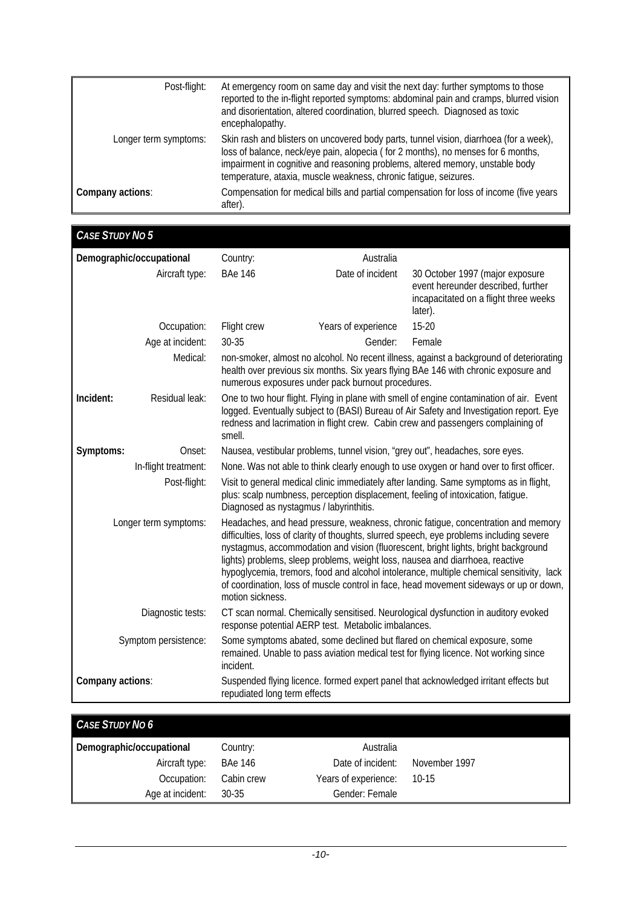| Post-flight:          | At emergency room on same day and visit the next day: further symptoms to those<br>reported to the in-flight reported symptoms: abdominal pain and cramps, blurred vision<br>and disorientation, altered coordination, blurred speech. Diagnosed as toxic<br>encephalopathy.                                                    |
|-----------------------|---------------------------------------------------------------------------------------------------------------------------------------------------------------------------------------------------------------------------------------------------------------------------------------------------------------------------------|
| Longer term symptoms: | Skin rash and blisters on uncovered body parts, tunnel vision, diarrhoea (for a week),<br>loss of balance, neck/eye pain, alopecia (for 2 months), no menses for 6 months,<br>impairment in cognitive and reasoning problems, altered memory, unstable body<br>temperature, ataxia, muscle weakness, chronic fatigue, seizures. |
| Company actions:      | Compensation for medical bills and partial compensation for loss of income (five years<br>after).                                                                                                                                                                                                                               |

| <b>CASE STUDY NO 5</b>                                                                                                                                                                                 |                          |                                                                                                                                                                                                                                                                                   |                                                     |                                                                                                                                                                                                                                                                                                                                                                                                                                                                                                                                            |  |
|--------------------------------------------------------------------------------------------------------------------------------------------------------------------------------------------------------|--------------------------|-----------------------------------------------------------------------------------------------------------------------------------------------------------------------------------------------------------------------------------------------------------------------------------|-----------------------------------------------------|--------------------------------------------------------------------------------------------------------------------------------------------------------------------------------------------------------------------------------------------------------------------------------------------------------------------------------------------------------------------------------------------------------------------------------------------------------------------------------------------------------------------------------------------|--|
|                                                                                                                                                                                                        | Demographic/occupational | Country:                                                                                                                                                                                                                                                                          | Australia                                           |                                                                                                                                                                                                                                                                                                                                                                                                                                                                                                                                            |  |
|                                                                                                                                                                                                        | Aircraft type:           | <b>BAe 146</b>                                                                                                                                                                                                                                                                    | Date of incident                                    | 30 October 1997 (major exposure<br>event hereunder described, further<br>incapacitated on a flight three weeks<br>later).                                                                                                                                                                                                                                                                                                                                                                                                                  |  |
|                                                                                                                                                                                                        | Occupation:              | Flight crew                                                                                                                                                                                                                                                                       | Years of experience                                 | $15 - 20$                                                                                                                                                                                                                                                                                                                                                                                                                                                                                                                                  |  |
|                                                                                                                                                                                                        | Age at incident:         | 30-35                                                                                                                                                                                                                                                                             | Gender:                                             | Female                                                                                                                                                                                                                                                                                                                                                                                                                                                                                                                                     |  |
|                                                                                                                                                                                                        | Medical:                 | non-smoker, almost no alcohol. No recent illness, against a background of deteriorating<br>health over previous six months. Six years flying BAe 146 with chronic exposure and<br>numerous exposures under pack burnout procedures.                                               |                                                     |                                                                                                                                                                                                                                                                                                                                                                                                                                                                                                                                            |  |
| Incident:                                                                                                                                                                                              | Residual leak:           | One to two hour flight. Flying in plane with smell of engine contamination of air. Event<br>logged. Eventually subject to (BASI) Bureau of Air Safety and Investigation report. Eye<br>redness and lacrimation in flight crew. Cabin crew and passengers complaining of<br>smell. |                                                     |                                                                                                                                                                                                                                                                                                                                                                                                                                                                                                                                            |  |
| Symptoms:                                                                                                                                                                                              | Onset:                   |                                                                                                                                                                                                                                                                                   |                                                     | Nausea, vestibular problems, tunnel vision, "grey out", headaches, sore eyes.                                                                                                                                                                                                                                                                                                                                                                                                                                                              |  |
|                                                                                                                                                                                                        | In-flight treatment:     |                                                                                                                                                                                                                                                                                   |                                                     | None. Was not able to think clearly enough to use oxygen or hand over to first officer.                                                                                                                                                                                                                                                                                                                                                                                                                                                    |  |
|                                                                                                                                                                                                        | Post-flight:             | Visit to general medical clinic immediately after landing. Same symptoms as in flight,<br>plus: scalp numbness, perception displacement, feeling of intoxication, fatigue.<br>Diagnosed as nystagmus / labyrinthitis.                                                             |                                                     |                                                                                                                                                                                                                                                                                                                                                                                                                                                                                                                                            |  |
|                                                                                                                                                                                                        | Longer term symptoms:    | motion sickness.                                                                                                                                                                                                                                                                  |                                                     | Headaches, and head pressure, weakness, chronic fatigue, concentration and memory<br>difficulties, loss of clarity of thoughts, slurred speech, eye problems including severe<br>nystagmus, accommodation and vision (fluorescent, bright lights, bright background<br>lights) problems, sleep problems, weight loss, nausea and diarrhoea, reactive<br>hypoglycemia, tremors, food and alcohol intolerance, multiple chemical sensitivity, lack<br>of coordination, loss of muscle control in face, head movement sideways or up or down, |  |
|                                                                                                                                                                                                        | Diagnostic tests:        |                                                                                                                                                                                                                                                                                   | response potential AERP test. Metabolic imbalances. | CT scan normal. Chemically sensitised. Neurological dysfunction in auditory evoked                                                                                                                                                                                                                                                                                                                                                                                                                                                         |  |
| Symptom persistence:<br>Some symptoms abated, some declined but flared on chemical exposure, some<br>remained. Unable to pass aviation medical test for flying licence. Not working since<br>incident. |                          |                                                                                                                                                                                                                                                                                   |                                                     |                                                                                                                                                                                                                                                                                                                                                                                                                                                                                                                                            |  |
| Company actions:                                                                                                                                                                                       |                          | repudiated long term effects                                                                                                                                                                                                                                                      |                                                     | Suspended flying licence. formed expert panel that acknowledged irritant effects but                                                                                                                                                                                                                                                                                                                                                                                                                                                       |  |

| <b>CASE STUDY NO 6</b>   |            |                      |               |
|--------------------------|------------|----------------------|---------------|
| Demographic/occupational | Country:   | Australia            |               |
| Aircraft type:           | BAe 146    | Date of incident:    | November 1997 |
| Occupation:              | Cabin crew | Years of experience: | 10-15         |
| Age at incident:         | 30-35      | Gender: Female       |               |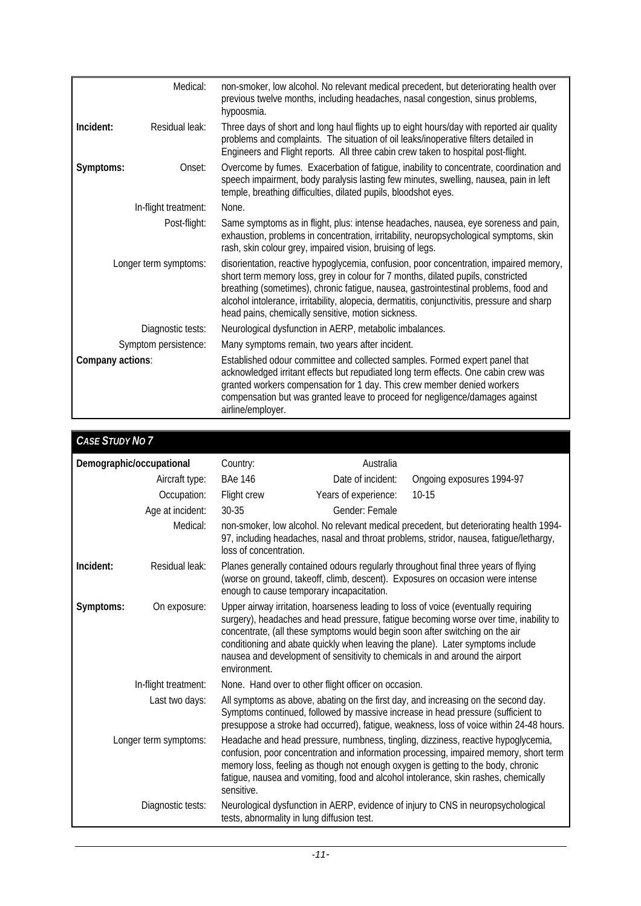|                       | Medical:             | non-smoker, low alcohol. No relevant medical precedent, but deteriorating health over<br>previous twelve months, including headaches, nasal congestion, sinus problems,<br>hypoosmia.                                                                                                                                                                                                                                  |
|-----------------------|----------------------|------------------------------------------------------------------------------------------------------------------------------------------------------------------------------------------------------------------------------------------------------------------------------------------------------------------------------------------------------------------------------------------------------------------------|
| Incident:             | Residual leak:       | Three days of short and long haul flights up to eight hours/day with reported air quality<br>problems and complaints. The situation of oil leaks/inoperative filters detailed in<br>Engineers and Flight reports. All three cabin crew taken to hospital post-flight.                                                                                                                                                  |
| Symptoms:             | Onset:               | Overcome by fumes. Exacerbation of fatigue, inability to concentrate, coordination and<br>speech impairment, body paralysis lasting few minutes, swelling, nausea, pain in left<br>temple, breathing difficulties, dilated pupils, bloodshot eyes.                                                                                                                                                                     |
|                       | In-flight treatment: | None.                                                                                                                                                                                                                                                                                                                                                                                                                  |
| Post-flight:          |                      | Same symptoms as in flight, plus: intense headaches, nausea, eye soreness and pain,<br>exhaustion, problems in concentration, irritability, neuropsychological symptoms, skin<br>rash, skin colour grey, impaired vision, bruising of legs.                                                                                                                                                                            |
| Longer term symptoms: |                      | disorientation, reactive hypoglycemia, confusion, poor concentration, impaired memory,<br>short term memory loss, grey in colour for 7 months, dilated pupils, constricted<br>breathing (sometimes), chronic fatigue, nausea, gastrointestinal problems, food and<br>alcohol intolerance, irritability, alopecia, dermatitis, conjunctivitis, pressure and sharp<br>head pains, chemically sensitive, motion sickness. |
|                       | Diagnostic tests:    | Neurological dysfunction in AERP, metabolic imbalances.                                                                                                                                                                                                                                                                                                                                                                |
|                       | Symptom persistence: | Many symptoms remain, two years after incident.                                                                                                                                                                                                                                                                                                                                                                        |
| Company actions:      |                      | Established odour committee and collected samples. Formed expert panel that<br>acknowledged irritant effects but repudiated long term effects. One cabin crew was<br>granted workers compensation for 1 day. This crew member denied workers<br>compensation but was granted leave to proceed for negligence/damages against<br>airline/employer.                                                                      |

| <b>CASE STUDY NO 7</b>                                                                                                                                                                                                                                                                                                                                                                       |                                                                                                                                                                                                                                                                                                                                                                                                                                               |                      |                           |
|----------------------------------------------------------------------------------------------------------------------------------------------------------------------------------------------------------------------------------------------------------------------------------------------------------------------------------------------------------------------------------------------|-----------------------------------------------------------------------------------------------------------------------------------------------------------------------------------------------------------------------------------------------------------------------------------------------------------------------------------------------------------------------------------------------------------------------------------------------|----------------------|---------------------------|
| Demographic/occupational                                                                                                                                                                                                                                                                                                                                                                     | Country:<br>Australia                                                                                                                                                                                                                                                                                                                                                                                                                         |                      |                           |
| Aircraft type:                                                                                                                                                                                                                                                                                                                                                                               | <b>BAe 146</b>                                                                                                                                                                                                                                                                                                                                                                                                                                | Date of incident:    | Ongoing exposures 1994-97 |
| Occupation:                                                                                                                                                                                                                                                                                                                                                                                  | Flight crew                                                                                                                                                                                                                                                                                                                                                                                                                                   | Years of experience: | $10 - 15$                 |
| Age at incident:                                                                                                                                                                                                                                                                                                                                                                             | 30-35                                                                                                                                                                                                                                                                                                                                                                                                                                         | Gender: Female       |                           |
| Medical:                                                                                                                                                                                                                                                                                                                                                                                     | non-smoker, low alcohol. No relevant medical precedent, but deteriorating health 1994-<br>97, including headaches, nasal and throat problems, stridor, nausea, fatigue/lethargy,<br>loss of concentration.                                                                                                                                                                                                                                    |                      |                           |
| Residual leak:<br>Incident:                                                                                                                                                                                                                                                                                                                                                                  | Planes generally contained odours regularly throughout final three years of flying<br>(worse on ground, takeoff, climb, descent). Exposures on occasion were intense<br>enough to cause temporary incapacitation.                                                                                                                                                                                                                             |                      |                           |
| Symptoms:<br>On exposure:                                                                                                                                                                                                                                                                                                                                                                    | Upper airway irritation, hoarseness leading to loss of voice (eventually requiring<br>surgery), headaches and head pressure, fatigue becoming worse over time, inability to<br>concentrate, (all these symptoms would begin soon after switching on the air<br>conditioning and abate quickly when leaving the plane). Later symptoms include<br>nausea and development of sensitivity to chemicals in and around the airport<br>environment. |                      |                           |
| In-flight treatment:                                                                                                                                                                                                                                                                                                                                                                         | None. Hand over to other flight officer on occasion.                                                                                                                                                                                                                                                                                                                                                                                          |                      |                           |
| Last two days:                                                                                                                                                                                                                                                                                                                                                                               | All symptoms as above, abating on the first day, and increasing on the second day.<br>Symptoms continued, followed by massive increase in head pressure (sufficient to<br>presuppose a stroke had occurred), fatigue, weakness, loss of voice within 24-48 hours.                                                                                                                                                                             |                      |                           |
| Headache and head pressure, numbness, tingling, dizziness, reactive hypoglycemia,<br>Longer term symptoms:<br>confusion, poor concentration and information processing, impaired memory, short term<br>memory loss, feeling as though not enough oxygen is getting to the body, chronic<br>fatigue, nausea and vomiting, food and alcohol intolerance, skin rashes, chemically<br>sensitive. |                                                                                                                                                                                                                                                                                                                                                                                                                                               |                      |                           |
| Diagnostic tests:                                                                                                                                                                                                                                                                                                                                                                            | Neurological dysfunction in AERP, evidence of injury to CNS in neuropsychological<br>tests, abnormality in lung diffusion test.                                                                                                                                                                                                                                                                                                               |                      |                           |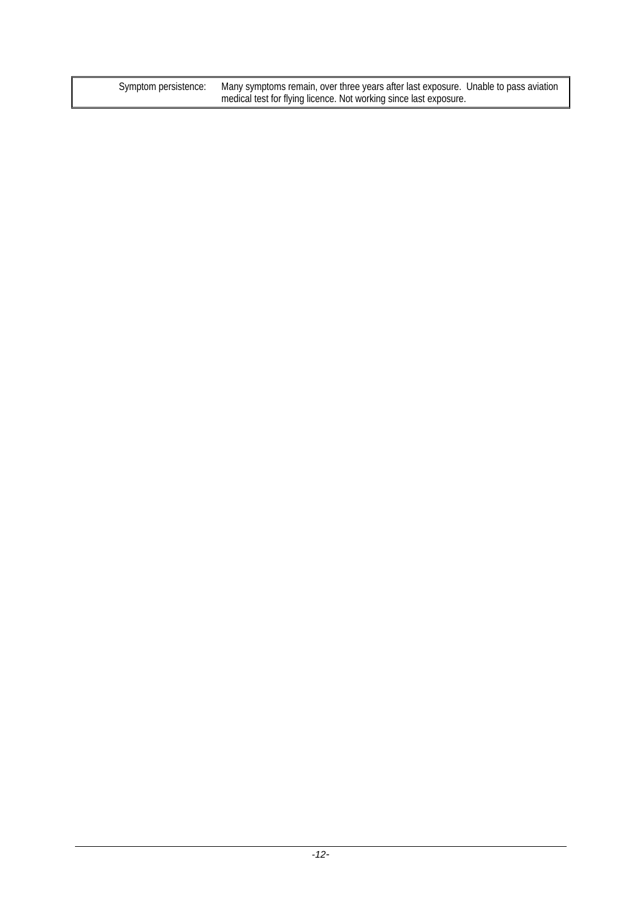Symptom persistence: Many symptoms remain, over three years after last exposure. Unable to pass aviation medical test for flying licence. Not working since last exposure.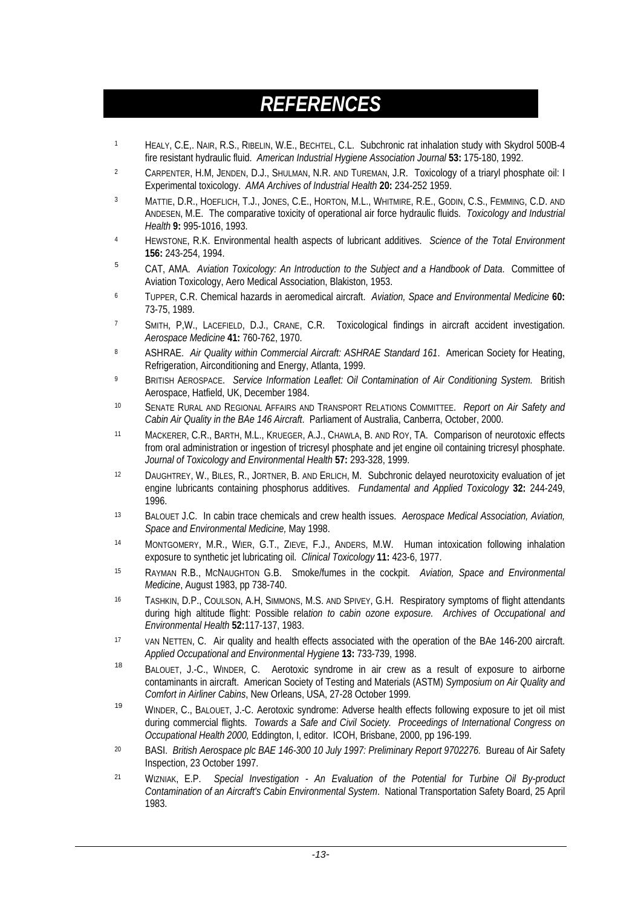# *REFERENCES*

- 1 HEALY, C.E,. NAIR, R.S., RIBELIN, W.E., BECHTEL, C.L. Subchronic rat inhalation study with Skydrol 500B-4 fire resistant hydraulic fluid. *American Industrial Hygiene Association Journal* **53:** 175-180, 1992.
- 2 CARPENTER, H.M, JENDEN, D.J., SHULMAN, N.R. AND TUREMAN, J.R. Toxicology of a triaryl phosphate oil: I Experimental toxicology. *AMA Archives of Industrial Health* **20:** 234-252 1959.
- 3 MATTIE, D.R., HOEFLICH, T.J., JONES, C.E., HORTON, M.L., WHITMIRE, R.E., GODIN, C.S., FEMMING, C.D. AND ANDESEN, M.E. The comparative toxicity of operational air force hydraulic fluids. *Toxicology and Industrial Health* **9:** 995-1016, 1993.
- 4 HEWSTONE, R.K. Environmental health aspects of lubricant additives. *Science of the Total Environment* **156:** 243-254, 1994.
- 5 CAT, AMA. *Aviation Toxicology: An Introduction to the Subject and a Handbook of Data*. Committee of Aviation Toxicology, Aero Medical Association, Blakiston, 1953.
- 6 TUPPER, C.R. Chemical hazards in aeromedical aircraft. *Aviation, Space and Environmental Medicine* **60:** 73-75, 1989.
- 7 SMITH, P,W., LACEFIELD, D.J., CRANE, C.R. Toxicological findings in aircraft accident investigation. *Aerospace Medicine* **41:** 760-762, 1970.
- 8 ASHRAE. *Air Quality within Commercial Aircraft: ASHRAE Standard 161*. American Society for Heating, Refrigeration, Airconditioning and Energy, Atlanta, 1999.
- 9 BRITISH AEROSPACE. *Service Information Leaflet: Oil Contamination of Air Conditioning System.* British Aerospace, Hatfield, UK, December 1984.
- 10 SENATE RURAL AND REGIONAL AFFAIRS AND TRANSPORT RELATIONS COMMITTEE. *Report on Air Safety and Cabin Air Quality in the BAe 146 Aircraft*. Parliament of Australia, Canberra, October, 2000.
- 11 MACKERER, C.R., BARTH, M.L., KRUEGER, A.J., CHAWLA, B. AND ROY, TA. Comparison of neurotoxic effects from oral administration or ingestion of tricresyl phosphate and jet engine oil containing tricresyl phosphate. *Journal of Toxicology and Environmental Health* **57:** 293-328, 1999.
- 12 DAUGHTREY, W., BILES, R., JORTNER, B. AND ERLICH, M. Subchronic delayed neurotoxicity evaluation of jet engine lubricants containing phosphorus additives. *Fundamental and Applied Toxicology* **32:** 244-249, 1996.
- 13 BALOUET J.C. In cabin trace chemicals and crew health issues. *Aerospace Medical Association, Aviation, Space and Environmental Medicine,* May 1998.
- 14 MONTGOMERY, M.R., WIER, G.T., ZIEVE, F.J., ANDERS, M.W. Human intoxication following inhalation exposure to synthetic jet lubricating oil. *Clinical Toxicology* **11:** 423-6, 1977.
- 15 RAYMAN R.B., MCNAUGHTON G.B. Smoke/fumes in the cockpit. *Aviation, Space and Environmental Medicine*, August 1983, pp 738-740.
- 16 TASHKIN, D.P., COULSON, A.H, SIMMONS, M.S. AND SPIVEY, G.H. Respiratory symptoms of flight attendants during high altitude flight: Possible rela*tion to cabin ozone exposure. Archives of Occupational and Environmental Health* **52:**117-137, 1983.
- 17 VAN NETTEN, C. Air quality and health effects associated with the operation of the BAe 146-200 aircraft. *Applied Occupational and Environmental Hygiene* **13:** 733-739, 1998.
- 18 BALOUET, J.-C., WINDER, C. Aerotoxic syndrome in air crew as a result of exposure to airborne contaminants in aircraft. American Society of Testing and Materials (ASTM) *Symposium on Air Quality and Comfort in Airliner Cabins*, New Orleans, USA, 27-28 October 1999.
- 19 WINDER, C., BALOUET, J.-C. Aerotoxic syndrome: Adverse health effects following exposure to jet oil mist during commercial flights. *Towards a Safe and Civil Society. Proceedings of International Congress on Occupational Health 2000,* Eddington, I, editor. ICOH, Brisbane, 2000, pp 196-199.
- 20 BASI. *British Aerospace plc BAE 146-300 10 July 1997: Preliminary Report 9702276.* Bureau of Air Safety Inspection, 23 October 1997.
- 21 WIZNIAK, E.P. *Special Investigation An Evaluation of the Potential for Turbine Oil By-product Contamination of an Aircraft's Cabin Environmental System*. National Transportation Safety Board, 25 April 1983.